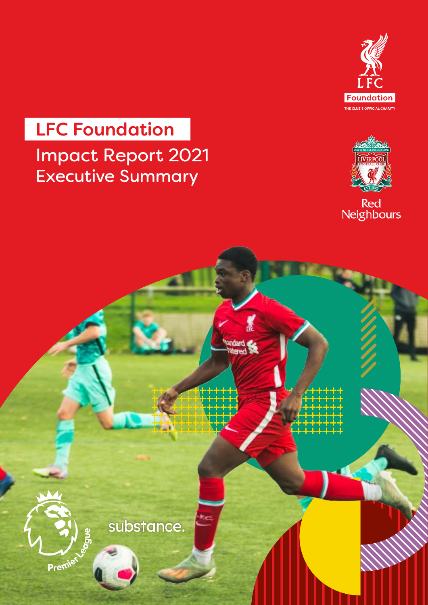

# Impact Report 2021 Executive Summary LFC Foundation



Red<br>Neighbours

substance.

dard<br>tered

Premiet

**Room**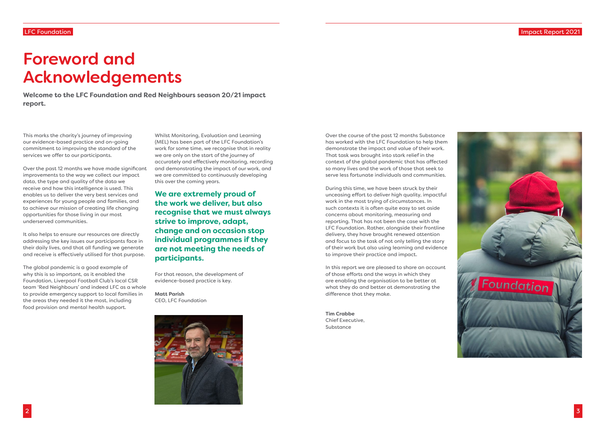# LFC Foundation



Impact Report 2021



This marks the charity's journey of improving our evidence-based practice and on-going commitment to improving the standard of the services we offer to our participants.

Over the past 12 months we have made significant improvements to the way we collect our impact data, the type and quality of the data we receive and how this intelligence is used. This enables us to deliver the very best services and experiences for young people and families, and to achieve our mission of creating life changing opportunities for those living in our most underserved communities.

It also helps to ensure our resources are directly addressing the key issues our participants face in their daily lives, and that all funding we generate and receive is effectively utilised for that purpose.

The global pandemic is a good example of why this is so important, as it enabled the Foundation, Liverpool Football Club's local CSR team 'Red Neighbours' and indeed LFC as a whole to provide emergency support to local families in the areas they needed it the most, including food provision and mental health support.

Over the course of the past 12 months Substance has worked with the LFC Foundation to help them demonstrate the impact and value of their work. That task was brought into stark relief in the context of the global pandemic that has affected so many lives and the work of those that seek to serve less fortunate individuals and communities.

During this time, we have been struck by their unceasing effort to deliver high quality, impactful work in the most trying of circumstances. In such contexts it is often quite easy to set aside concerns about monitoring, measuring and reporting. That has not been the case with the LFC Foundation. Rather, alongside their frontline delivery, they have brought renewed attention and focus to the task of not only telling the story of their work but also using learning and evidence to improve their practice and impact.

In this report we are pleased to share an account of those efforts and the ways in which they are enabling the organisation to be better at what they do and better at demonstrating the difference that they make.

**Tim Crabbe** Chief Executive, Substance

# Foreword and Acknowledgements

**Welcome to the LFC Foundation and Red Neighbours season 20/21 impact report.**

> Whilst Monitoring, Evaluation and Learning (MEL) has been part of the LFC Foundation's work for some time, we recognise that in reality we are only on the start of the journey of accurately and effectively monitoring, recording and demonstrating the impact of our work, and we are committed to continuously developing this over the coming years.

**We are extremely proud of the work we deliver, but also recognise that we must always strive to improve, adapt, change and on occasion stop individual programmes if they are not meeting the needs of participants.**

For that reason, the development of evidence-based practice is key.

**Matt Parish**  CEO, LFC Foundation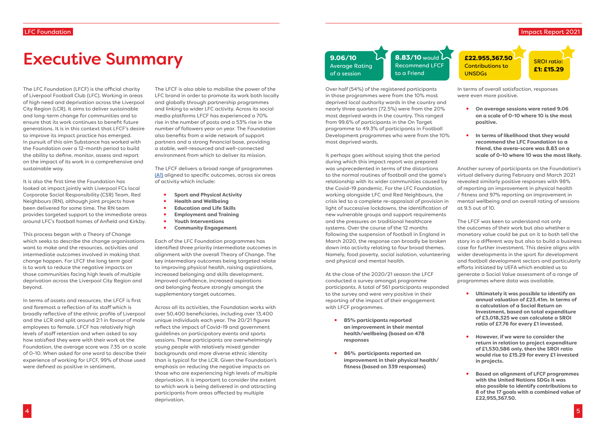# Executive Summary

The LFC Foundation (LFCF) is the official charity of Liverpool Football Club (LFC). Working in areas of high need and deprivation across the Liverpool City Region (LCR), it aims to deliver sustainable and long-term change for communities and to ensure that its work continues to benefit future generations. It is in this context that LFCF's desire to improve its impact practice has emerged. In pursuit of this aim Substance has worked with the Foundation over a 12-month period to build the ability to define, monitor, assess and report on the impact of its work in a comprehensive and sustainable way.

It is also the first time the Foundation has looked at impact jointly with Liverpool FCs local Corporate Social Responsibility (CSR) Team, Red Neighbours (RN), although joint projects have been delivered for some time. The RN team provides targeted support to the immediate areas around LFC's football homes of Anfield and Kirkby.

This process began with a Theory of Change which seeks to describe the change organisations want to make and the resources, activities and intermediate outcomes involved in making that change happen. For LFCF the long term goal is to work to reduce the negative impacts on those communities facing high levels of multiple deprivation across the Liverpool City Region and beyond.

In terms of assets and resources, the LFCF is first and foremost a reflection of its staff which is broadly reflective of the ethnic profile of Liverpool and the LCR and split around 2:1 in favour of male employees to female. LFCF has relatively high levels of staff retention and when asked to say how satisfied they were with their work at the Foundation, the average score was 7.35 on a scale of 0-10. When asked for one word to describe their experience of working for LFCF, 99% of those used were defined as positive in sentiment.

The LFCF is also able to mobilise the power of the LFC brand in order to promote its work both locally and globally through partnership programmes and linking to wider LFC activity. Across its social media platforms LFCF has experienced a 70% rise in the number of posts and a 53% rise in the number of followers year on year. The Foundation also benefits from a wide network of support partners and a strong financial base, providing a stable, well-resourced and well-connected environment from which to deliver its mission.

The LFCF delivers a broad range of programmes [\(A1\)](https://foundation.liverpoolfc.com/programmes) aligned to specific outcomes, across six areas of activity which include:

- • **Sport and Physical Activity**
- • **Health and Wellbeing**
- • **Education and Life Skills**
- • **Employment and Training**
- • **Youth Interventions**
- • **Community Engagement**

Each of the LFC Foundation programmes has identified three priority intermediate outcomes in alignment with the overall Theory of Change. The key intermediary outcomes being targeted relate to improving physical health, raising aspirations, increased belonging and skills development. Improved confidence, increased aspirations and belonging feature strongly amongst the supplementary target outcomes.

Across all its activities, the Foundation works with over 50,400 beneficiaries, including over 13,400 unique individuals each year. The 20/21 figures reflect the impact of Covid-19 and government guidelines on participatory events and sports sessions. These participants are overwhelmingly young people with relatively mixed gender backgrounds and more diverse ethnic identity than is typical for the LCR. Given the Foundation's emphasis on reducing the negative impacts on those who are experiencing high levels of multiple deprivation, it is important to consider the extent to which work is being delivered in and attracting participants from areas affected by multiple deprivation.

 $8.83/10$  would  $\lambda$ Recommend LFCF to a Friend

# Impact Report 2021 SROI ratio: £1: £15.29 £22.955,367.50 Contributions to UNSDGs

Over half (54%) of the registered participants in those programmes were from the 10% most deprived local authority wards in the country and nearly three quarters (72.5%) were from the 20% most deprived wards in the country. This ranged from 99.6% of participants in the On Target programme to 49.3% of participants in Football Development programmes who were from the 10% most deprived wards.

It perhaps goes without saying that the period during which this impact report was prepared was unprecedented in terms of the distortions to the normal routines of football and the game's relationship with its wider communities caused by the Covid-19 pandemic. For the LFC Foundation, working alongside LFC and Red Neighbours, the crisis led to a complete re-appraisal of provision in light of successive lockdowns, the identification of new vulnerable groups and support requirements and the pressures on traditional healthcare systems. Over the course of the 12 months following the suspension of football in England in March 2020, the response can broadly be broken down into activity relating to four broad themes. Namely, food poverty, social isolation, volunteering and physical and mental health.

At the close of the 2020/21 season the LFCF conducted a survey amongst programme participants. A total of 561 participants responded to the survey and were very positive in their reporting of the impact of their engagement with LFCF programmes.

- **85% participants reported an improvement in their mental health/wellbeing (based on 478 responses**
- **86% participants reported an improvement in their physical health/ fitness (based on 339 responses)**

In terms of overall satisfaction, responses were even more positive.

- **On average sessions were rated 9.06 on a scale of 0-10 where 10 is the most positive.**
- **In terms of likelihood that they would recommend the LFC Foundation to a friend, the avera-score was 8.83 on a scale of 0-10 where 10 was the most likely.**

Another survey of participants on the Foundation's virtual delivery during February and March 2021 revealed similarly positive responses with 98% of reporting an improvement in physical health / fitness and 97% reporting an improvement in mental wellbeing and an overall rating of sessions at 9.5 out of 10.

The LFCF was keen to understand not only the outcomes of their work but also whether a monetary value could be put on it to both tell the story in a different way but also to build a business case for further investment. This desire aligns with wider developments in the sport for development and football development sectors and particularly efforts initiated by UEFA which enabled us to generate a Social Value assessment of a range of programmes where data was available.

- **Ultimately it was possible to identify an annual valuation of £23.41m. In terms of a calculation of a Social Return on Investment, based on total expenditure of £3,018,325 we can calculate a SROI ratio of £7.76 for every £1 invested.**
- **However, if we were to consider the return in relation to project expenditure of £1,530,586 only, then the SROI ratio would rise to £15.29 for every £1 invested in projects.**
- **Based on alignment of LFCF programmes with the United Nations SDGs it was also possible to identify contributions to 8 of the 17 goals with a combined value of £22,955,367.50.**

9.06/10 Average Rating of a session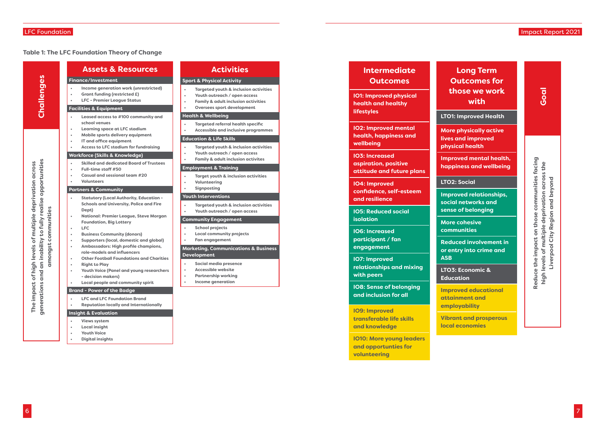# LFC Foundation

6

7

# Impact Report 2021

|                                                                                    | <b>Assets &amp; Resources</b><br><b>Finance/Investment</b>                                                                                                                                                                                                                                                                                                                                                                                                                                                                                                  |
|------------------------------------------------------------------------------------|-------------------------------------------------------------------------------------------------------------------------------------------------------------------------------------------------------------------------------------------------------------------------------------------------------------------------------------------------------------------------------------------------------------------------------------------------------------------------------------------------------------------------------------------------------------|
| Challenges                                                                         | Income generation work (unrestricted)<br><b>Grant funding (restricted £)</b><br><b>LFC - Premier League Status</b>                                                                                                                                                                                                                                                                                                                                                                                                                                          |
|                                                                                    | <b>Facilities &amp; Equipment</b>                                                                                                                                                                                                                                                                                                                                                                                                                                                                                                                           |
|                                                                                    | Leased access to #100 community and<br>school venues<br><b>Learning space at LFC stadium</b><br>Mobile sports delivery equipment                                                                                                                                                                                                                                                                                                                                                                                                                            |
|                                                                                    | IT and office equipment<br><b>Access to LFC stadium for fundraising</b>                                                                                                                                                                                                                                                                                                                                                                                                                                                                                     |
|                                                                                    | <b>Workforce (Skills &amp; Knowledge)</b>                                                                                                                                                                                                                                                                                                                                                                                                                                                                                                                   |
|                                                                                    | <b>Skilled and dedicated Board of Trustees</b><br>Full-time staff #50<br><b>Casual and sessional team #20</b><br><b>Volunteers</b>                                                                                                                                                                                                                                                                                                                                                                                                                          |
|                                                                                    | <b>Partners &amp; Community</b>                                                                                                                                                                                                                                                                                                                                                                                                                                                                                                                             |
| and an inability to fully realise opportunities<br>amongst communities<br><u>ဖ</u> | <b>Statutory (Local Authority, Education -</b><br><b>Schools and University, Police and Fire</b><br>Dept)<br><b>National: Premier League, Steve Morgan</b><br><b>Foundation, Big Lottery</b><br><b>LFC</b><br><b>Business Community (donors)</b><br><b>Supporters (local, domestic and global)</b><br>Ambassadors: High profile champions,<br>role-models and influencers<br><b>Other Football Foundations and Charities</b><br><b>Right to Play</b><br>Youth Voice (Panel and young researchers<br>- decision makers)<br>Local people and community spirit |
|                                                                                    | <b>Brand - Power of the Badge</b>                                                                                                                                                                                                                                                                                                                                                                                                                                                                                                                           |
| generatio                                                                          | <b>LFC and LFC Foundation Brand</b><br><b>Reputation locally and Internationally</b>                                                                                                                                                                                                                                                                                                                                                                                                                                                                        |
|                                                                                    | <b>Insight &amp; Evaluation</b>                                                                                                                                                                                                                                                                                                                                                                                                                                                                                                                             |
|                                                                                    | <b>Views system</b><br><b>Local insight</b><br><b>Youth Voice</b>                                                                                                                                                                                                                                                                                                                                                                                                                                                                                           |

**• Digital insights**

# **Activities**

## **Sport & Physical Activity**

- **• Targeted youth & inclusion activities**
- **• Youth outreach / open access**
- **• Family & adult inclusion activities**
- **• Oversees sport development**

#### **Health & Wellbeing**

- **• Targeted referral health specific**
- **• Accessible and inclusive programmes**

#### **Education & Life Skills**

- **• Targeted youth & inclusion activities**
- **• Youth outreach / open access**
- **• Family & adult inclusion activites**

**Reduce the impact on those communities facing**  communities facing **high levels of multiple deprivation across the**  Reduce the impact on those communities facin<br>high levels of multiple deprivation across the Region and beyond **Liverpool City Region and beyond** Liverpool City

#### **Employment & Training**

- **• Target youth & inclusion activities**
- **• Volunteering**
- **• Signposting**

### **Youth Interventions**

- **• Targeted youth & inclusion activities**
- **• Youth outreach / open access**

#### **Community Engagement**

- **• School projects**
- **• Local community projects**
- **• Fan engagement**

## **Marketing, Communications & Business Development**

- **• Social media presence**
- **• Accessible website**
- **• Partnership working**
- **• Income generation**

| <b>Intermediate</b> |
|---------------------|
| <b>Outcomes</b>     |

**IO1: Improved physical health and healthy lifestyles**

**IO2: Improved mental health, happiness and wellbeing**

**IO3: Increased aspiration, positive attitude and future plans**

**IO4: Improved confidence, self-esteem and resilience**

**IO5: Reduced social isolation**

**IO6: Increased participant / fan engagement**

**IO7: Improved relationships and mixing with peers**

**IO8: Sense of belonging and inclusion for all**

**IO9: Improved transferable life skills and knowledge**

**IO10: More young leaders and opportunties for volunteering**

# **Long Term Outcomes for those we work with**

**LTO1: Improved Health**

**More physically active lives and improved physical health**

**Improved mental health, happiness and wellbeing**

# **LTO2: Social**

**Improved relationships, social networks and sense of belonging**

**More cohesive communities**

**Reduced involvement in or entry into crime and** 

**ASB**

**LTO3: Economic & Education**

**Improved educational attainment and** 

**employability Vibrant and prosperous local economies**

**The impact of high levels of multiple deprivation across** 

The impact of high levels of multiple deprivation across

**Goal**

## **Table 1: The LFC Foundation Theory of Change**